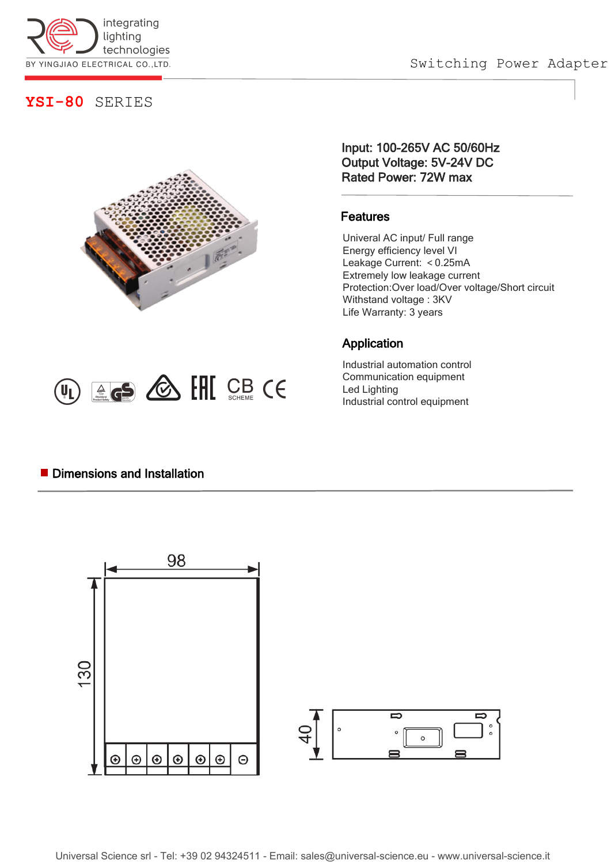

Switching Power Adapter

### **YSI-80** SERIES



 $(\mathsf{U}_L) \triangleq \mathsf{G}$   $\circledcirc$   $\circledcirc$   $\circledcirc$   $\circledcirc$   $\circledcirc$   $\circledcirc$   $\circledcirc$ 

Input: 100-265V AC 50/60Hz Output Voltage: 5V-24V DC Rated Power: 72W max

#### Features

Univeral AC input/ Full range Energy efficiency level VI<br>Leakage Current: <0.25mA Extremely low leakage current Protection:Over load/Over voltage/Short circuit Withstand voltage : 3KV Life Warranty: 3 years

### Application

Industrial automation control Communication equipment Led Lighting Industrial control equipment

#### **Dimensions and Installation**

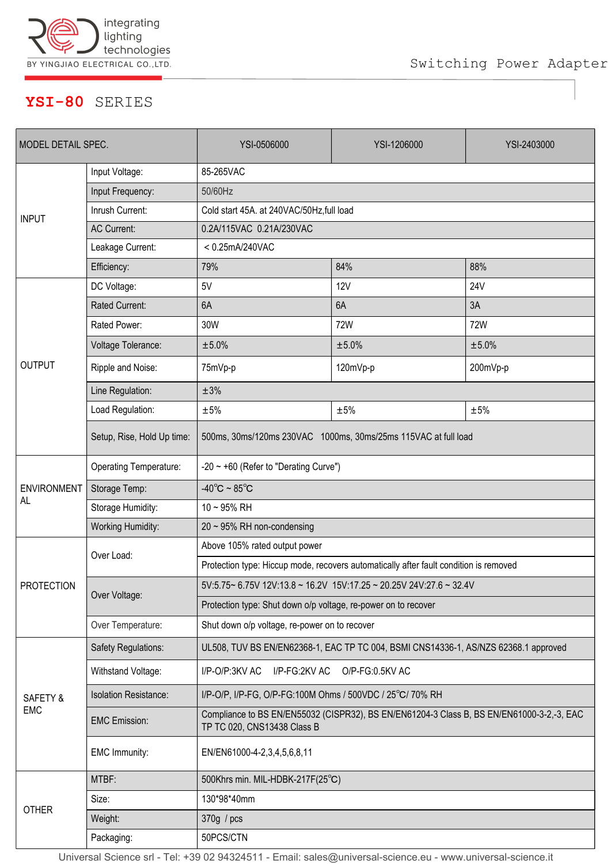

# **YSI-80** SERIES

| MODEL DETAIL SPEC.        |                              | YSI-0506000                                                                                                              | YSI-1206000 | YSI-2403000 |
|---------------------------|------------------------------|--------------------------------------------------------------------------------------------------------------------------|-------------|-------------|
| <b>INPUT</b>              | Input Voltage:               | 85-265VAC                                                                                                                |             |             |
|                           | Input Frequency:             | 50/60Hz                                                                                                                  |             |             |
|                           | Inrush Current:              | Cold start 45A. at 240VAC/50Hz, full load                                                                                |             |             |
|                           | <b>AC Current:</b>           | 0.2A/115VAC 0.21A/230VAC                                                                                                 |             |             |
|                           | Leakage Current:             | $< 0.25$ mA/240VAC                                                                                                       |             |             |
|                           | Efficiency:                  | 79%                                                                                                                      | 84%         | 88%         |
| <b>OUTPUT</b>             | DC Voltage:                  | 5V                                                                                                                       | <b>12V</b>  | 24V         |
|                           | Rated Current:               | 6A                                                                                                                       | 6A          | 3A          |
|                           | Rated Power:                 | 30W                                                                                                                      | 72W         | <b>72W</b>  |
|                           | Voltage Tolerance:           | ±5.0%                                                                                                                    | ±5.0%       | ±5.0%       |
|                           | Ripple and Noise:            | 75mVp-p                                                                                                                  | 120mVp-p    | 200mVp-p    |
|                           | Line Regulation:             | ±3%                                                                                                                      |             |             |
|                           | Load Regulation:             | $\pm 5\%$                                                                                                                | $\pm 5\%$   | $\pm 5\%$   |
|                           | Setup, Rise, Hold Up time:   | 500ms, 30ms/120ms 230VAC 1000ms, 30ms/25ms 115VAC at full load                                                           |             |             |
| <b>ENVIRONMENT</b><br>AL. | Operating Temperature:       | $-20 \sim +60$ (Refer to "Derating Curve")                                                                               |             |             |
|                           | Storage Temp:                | $-40^{\circ}$ C ~ 85 $^{\circ}$ C                                                                                        |             |             |
|                           | Storage Humidity:            | $10 - 95%$ RH                                                                                                            |             |             |
|                           | <b>Working Humidity:</b>     | $20 \sim 95\%$ RH non-condensing                                                                                         |             |             |
| <b>PROTECTION</b>         | Over Load:                   | Above 105% rated output power                                                                                            |             |             |
|                           |                              | Protection type: Hiccup mode, recovers automatically after fault condition is removed                                    |             |             |
|                           | Over Voltage:                | 5V:5.75~ 6.75V 12V:13.8 ~ 16.2V 15V:17.25 ~ 20.25V 24V:27.6 ~ 32.4V                                                      |             |             |
|                           |                              | Protection type: Shut down o/p voltage, re-power on to recover                                                           |             |             |
|                           | Over Temperature:            | Shut down o/p voltage, re-power on to recover                                                                            |             |             |
| SAFETY &<br>EMC           | Safety Regulations:          | UL508, TUV BS EN/EN62368-1, EAC TP TC 004, BSMI CNS14336-1, AS/NZS 62368.1 approved                                      |             |             |
|                           | Withstand Voltage:           | I/P-O/P:3KV AC<br>I/P-FG:2KV AC<br>O/P-FG:0.5KV AC                                                                       |             |             |
|                           | <b>Isolation Resistance:</b> | I/P-O/P, I/P-FG, O/P-FG:100M Ohms / 500VDC / 25°C/ 70% RH                                                                |             |             |
|                           | <b>EMC Emission:</b>         | Compliance to BS EN/EN55032 (CISPR32), BS EN/EN61204-3 Class B, BS EN/EN61000-3-2,-3, EAC<br>TP TC 020, CNS13438 Class B |             |             |
|                           | EMC Immunity:                | EN/EN61000-4-2,3,4,5,6,8,11                                                                                              |             |             |
| <b>OTHER</b>              | MTBF:                        | 500Khrs min. MIL-HDBK-217F(25°C)                                                                                         |             |             |
|                           | Size:                        | 130*98*40mm                                                                                                              |             |             |
|                           | Weight:                      | 370g / pcs                                                                                                               |             |             |
|                           | Packaging:                   | 50PCS/CTN                                                                                                                |             |             |

Universal Science srl - Tel: +39 02 94324511 - Email: sales@universal-science.eu - www.universal-science.it